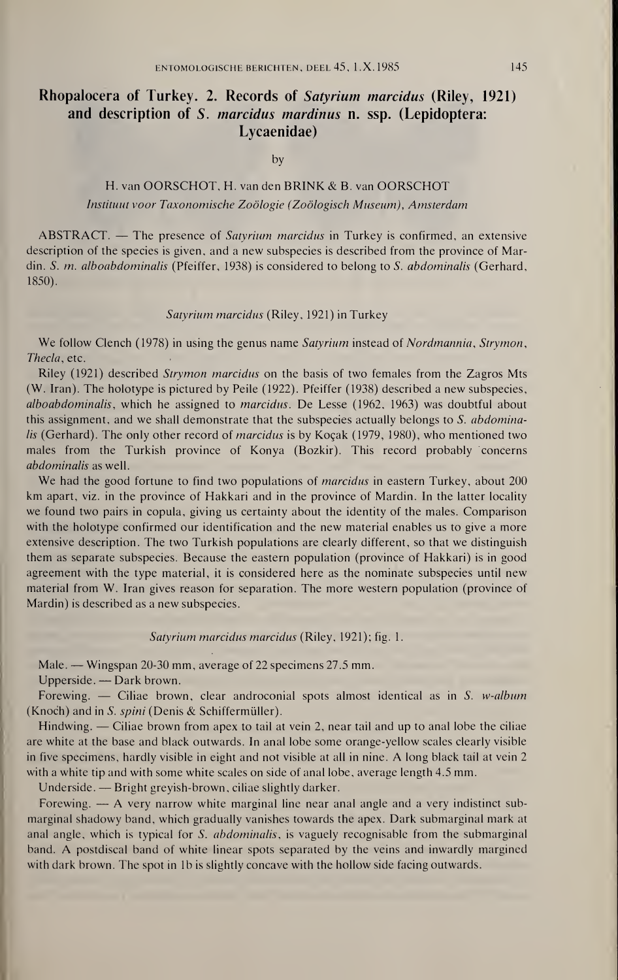# Rhopalocera of Turkey. 2. Records of Satyrium marcidus (Riley, 1921) and description of S. marcidus mardinus n. ssp. (Lepidoptera: Lycaenidae)

by

### H. van OORSCHOT, H. van den BRINK & B. van OORSCHOT Instituut voor Taxonomische Zoölogie (Zoölogisch Museum), Amsterdam

ABSTRACT. — The presence of Satyrium marcidus in Turkey is confirmed, an extensive description of the species is given, and a new subspecies is described from the province of Mardin. S. m. alboabdominalis (Pfeiffer, 1938) is considered to belong to S. abdominalis (Gerhard, 1850).

#### Satyrium marcidus (Riley, 1921) in Turkey

We follow Clench (1978) in using the genus name Satyrium instead of Nordmannia, Strymon, Thecla, etc.

Riley (1921) described Strymon marcidus on the basis of two females from the Zagros Mts (W. Iran). The holotype is pictured by Peile (1922). Pfeiffer (1938) described a new subspecies, alboabdominalis, which he assigned to marcidus. De Lesse (1962, 1963) was doubtful about this assignment, and we shall demonstrate that the subspecies actually belongs to  $S$ . abdominalis (Gerhard). The only other record of *marcidus* is by Koçak (1979, 1980), who mentioned two males from the Turkish province of Konya (Bozkir). This record probably concerns abdominalis as well.

We had the good fortune to find two populations of *marcidus* in eastern Turkey, about 200 km apart, viz. in the province of Hakkari and in the province of Mardin. In the latter locality we found two pairs in copula, giving us certainty about the identity of the males. Comparison with the holotype confirmed our identification and the new material enables us to give a more extensive description. The two Turkish populations are clearly different, so that we distinguish them as separate subspecies. Because the eastern population (province of Hakkari) is in good agreement with the type material, it is considered here as the nominate subspecies until new material from W. Iran gives reason for separation. The more western population (province of Mardin) is described as a new subspecies.

#### Satyrium marcidus marcidus (Riley, 1921); fig. 1.

Male. — Wingspan 20-30 mm, average of 22 specimens 27.5 mm.

Upperside. — Dark brown.

Forewing. — Ciliae brown, clear androconial spots almost identical as in S. w-album (Knoch) and in S. spini (Denis & Schiffermüller).

Hindwing. — Ciliae brown from apex to tail at vein 2, near tail and up to anal lobe the ciliae are white at the base and black outwards. In anal lobe some orange-yellow scales clearly visible in five specimens, hardly visible in eight and not visible at all in nine. A long black tail at vein 2 with a white tip and with some white scales on side of anal lobe, average length 4.5 mm.

Underside. — Bright greyish-brown, ciliae slightly darker.

Forewing.  $\rightarrow$  A very narrow white marginal line near anal angle and a very indistinct submarginal shadowy band, which gradually vanishes towards the apex. Dark submarginal mark at anal angle, which is typical for S. *abdominalis*, is vaguely recognisable from the submarginal band. A postdiscal band of white linear spots separated by the veins and inwardly margined with dark brown. The spot in lb is slightly concave with the hollow side facing outwards.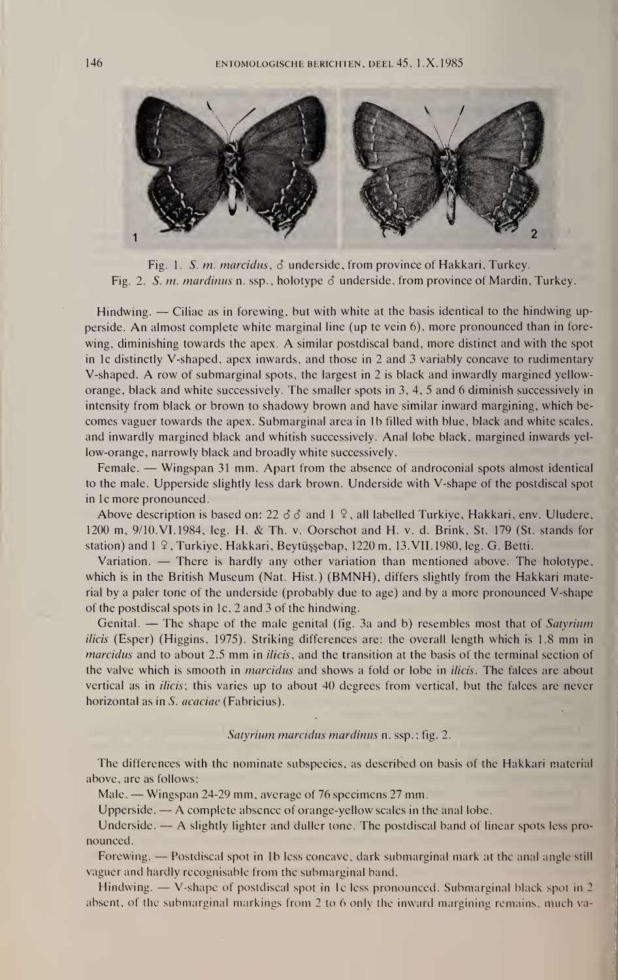

Fig. 1. S. m. marcidus,  $\delta$  underside, from province of Hakkari, Turkey. Fig. 2. S. m. mardinus n. ssp., holotype  $\delta$  underside, from province of Mardin, Turkey.

Hindwing. — Ciliae as in forewing, but with white at the basis identical to the hindwing upperside. An almost complete white marginal line (up te vein 6), more pronounced than in forewing, diminishing towards the apex. A similar postdiscal band, more distinct and with the spot in lc distinctly V-shaped, apex inwards, and those in 2 and 3 variably concave to rudimentary V-shaped. A row of submarginal spots, the largest in 2 is black and inwardly margined yelloworange, black and white successively. The smaller spots in 3, 4, 5 and 6 diminish successively in intensity from black or brown to shadowy brown and have similar inward margining, which becomes vaguer towards the apex. Submarginal area in lb filled with blue, black and white scales, and inwardly margined black and whitish successively. Anal lobe black, margined inwards yellow-orange, narrowly black and broadly white successively.

Female. — Wingspan 31 mm. Apart from the absence of androconial spots almost identical to the male. Upperside slightly less dark brown. Underside with V-shape of the postdiscal spot in lc more pronounced.

Above description is based on: 22  $\delta \delta$  and 1  $\Omega$ , all labelled Turkiye, Hakkari, env. Uludere, 1200 m, 9/10.VI. 1984, leg. H. & Th. v. Oorschot and H. v. d. Brink, St. 179 (St. stands for station) and 1 9, Turkiye, Hakkari, Beytüşşebap, 1220 m, 13. VII. 1980, leg. G. Betti.

Variation. — There is hardly any other variation than mentioned above. The holotype, which is in the British Museum (Nat. Hist.) (BMNH), differs slightly from the Hakkari material by a paler tone of the underside (probably due to age) and by a more pronounced V-shape of the postdiscal spots in lc, 2 and 3 of the hindwing.

Genital. — The shape of the male genital (fig. 3a and b) resembles most that of Satyrium ilicis (Esper) (Higgins, 1975). Striking differences are: the overall length which is 1.8 mm in marcidus and to about 2.5 mm in *ilicis*, and the transition at the basis of the terminal section of the valve which is smooth in *marcidus* and shows a fold or lobe in *ilicis*. The falces are about vertical as in *ilicis*; this varies up to about 40 degrees from vertical, but the falces are never horizontal as in S. *acaciae* (Fabricius).

#### Satyrium marcidus mardinus n. ssp.; fig. 2.

The differences with the nominate subspecies, as described on basis of the Hakkari material above, are as follows:

Male. — Wingspan 24-29 mm, average of 76 specimens 27 mm.

Upperside. — A complete absence of orange-yellow scales in the anal lobe.

Underside. — A slightly lighter and duller tone. The postdiscal band of linear spots less pronounced.

Forewing. — Postdiscal spot in lb less concave, dark submarginal mark at the anal angle still vaguer and hardly recognisable from the submarginal band.

Hindwing. — V-shape of postdiscal spot in lc less pronounced. Submarginal black spot in 2 absent, of the submarginal markings from 2 to 6 only the inward margining remains, much va-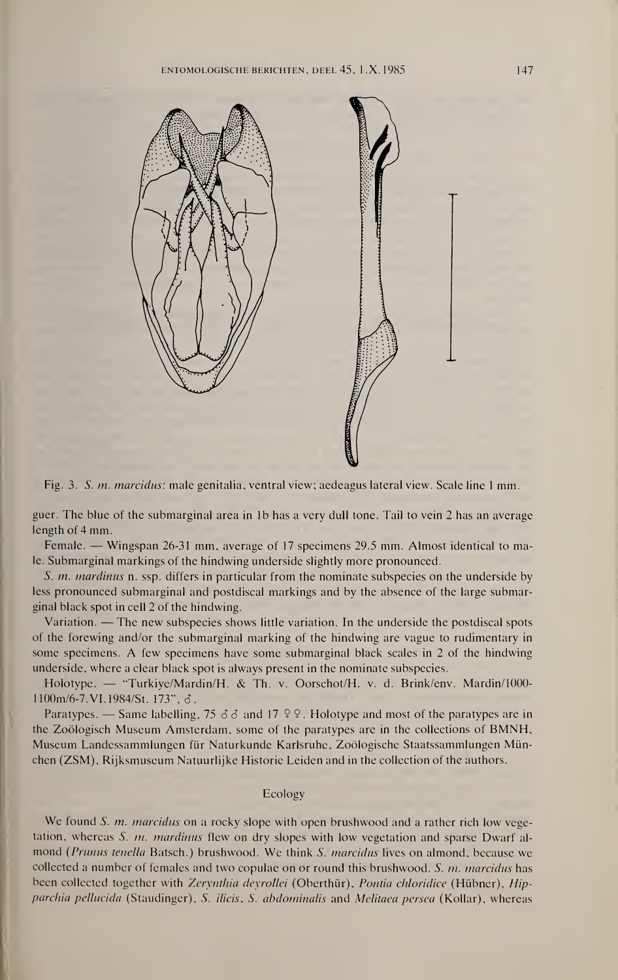



guer. The blue of the submarginal area in lb has a very dull tone. Tail to vein 2 has an average length of 4 mm.

Female. — Wingspan 26-31 mm, average of 17 specimens 29.5 mm. Almost identical to male. Submarginal markings of the hindwing underside slightly more pronounced.

S. m. mardinus n. ssp. differs in particular from the nominate subspecies on the underside by less pronounced submarginal and postdiscal markings and by the absence of the large submarginal black spot in cell 2 of the hindwing.

Variation. —The new subspecies shows little variation. In the underside the postdiscal spots of the forewing and/or the submarginal marking of the hindwing are vague to rudimentary in some specimens. A few specimens have some submarginal black scales in 2 of the hindwing underside, where a clear black spot is always present in the nominate subspecies.

Holotype. — "Turkiye/Mardin/H. & Th. v. Oorschot/H. v. d. Brink/env. Mardin/1000- 1100m/6-7.VI. 1984/St. 173", 6.

Paratypes. — Same labelling, 75  $\delta$   $\delta$  and 17  $\Omega$   $\Omega$ . Holotype and most of the paratypes are in the Zoölogisch Museum Amsterdam, some of the paratypes are in the collections of BMNH, Museum Landessammlungen für Naturkunde Karlsruhe, Zoologische Staatssammlungen Mün chen (ZSM), Rijksmuseum Natuurlijke Historie Leiden and in the collection of the authors.

#### Ecology

We found S. *m. marcidus* on a rocky slope with open brushwood and a rather rich low vegetation, whereas S. m. mardinus flew on dry slopes with low vegetation and sparse Dwarf almond (Prunus tenella Batsch.) brushwood. We think S. *marcidus* lives on almond, because we collected a number of females and two copulae on or round this brushwood. S. m. marcidus has been collected together with Zerynthia deyrollei (Oberthür), Pontia chloridice (Hübner), Hipparchia pellucida (Staudinger), S. ilicis, S. abdominalis and Melitaea persea (Kollar), whereas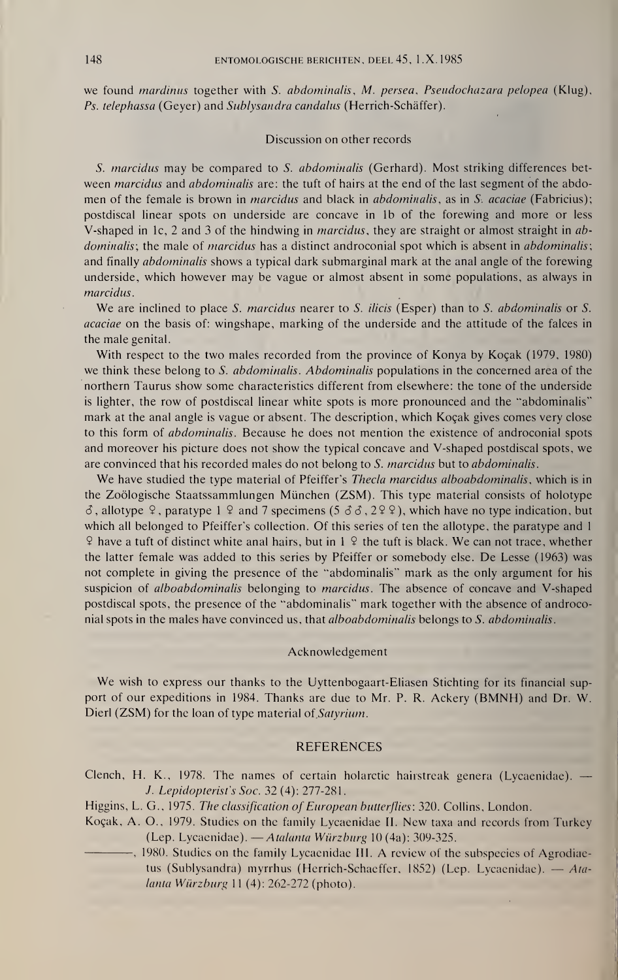we found *mardinus* together with S. abdominalis, M. persea, Pseudochazara pelopea (Klug), Ps. telephassa (Geyer) and Sublysandra candalus (Herrich-Schäffer).

#### Discussion on other records

S. marcidus may be compared to S. abdominalis (Gerhard). Most striking differences between marcidus and abdominalis are: the tuft of hairs at the end of the last segment of the abdomen of the female is brown in *marcidus* and black in *abdominalis*, as in S. *acaciae* (Fabricius); postdiscal linear spots on underside are concave in lb of the forewing and more or less V-shaped in 1c, 2 and 3 of the hindwing in *marcidus*, they are straight or almost straight in abdominalis; the male of marcidus has a distinct androconial spot which is absent in abdominalis; and finally *abdominalis* shows a typical dark submarginal mark at the anal angle of the forewing underside, which however may be vague or almost absent in some populations, as always in marcidus.

We are inclined to place S. marcidus nearer to S. ilicis (Esper) than to S. abdominalis or S. acaciae on the basis of: wingshape, marking of the underside and the attitude of the falces in the male genital.

With respect to the two males recorded from the province of Konya by Koçak (1979, 1980) we think these belong to S. *abdominalis. Abdominalis* populations in the concerned area of the northern Taurus show some characteristics different from elsewhere: the tone of the underside is lighter, the row of postdiscal linear white spots is more pronounced and the "abdominalis" mark at the anal angle is vague or absent. The description, which Koçak gives comes very close to this form of abdominalis. Because he does not mention the existence of androconial spots and moreover his picture does not show the typical concave and V-shaped postdiscal spots, we are convinced that his recorded males do not belong to S. marcidus but to abdominalis.

We have studied the type material of Pfeiffer's Thecla marcidus alboabdominalis, which is in the Zoölogische Staatssammlungen München (ZSM). This type material consists of holotype  $\delta$ , allotype  $\varphi$ , paratype 1  $\varphi$  and 7 specimens (5  $\delta$   $\delta$ , 2  $\varphi$ ), which have no type indication, but which all belonged to Pfeiffer's collection. Of this series of ten the allotype, the paratype and <sup>1</sup>  $9$  have a tuft of distinct white anal hairs, but in 1  $9$  the tuft is black. We can not trace, whether the latter female was added to this series by Pfeiffer or somebody else. De Lesse (1963) was not complete in giving the presence of the "abdominalis" mark as the only argument for his suspicion of *alboabdominalis* belonging to *marcidus*. The absence of concave and V-shaped postdiscal spots, the presence of the "abdominalis" mark together with the absence of androconial spots in the males have convinced us, that *alboabdominalis* belongs to S. *abdominalis*.

#### Acknowledgement

We wish to express our thanks to the Uyttenbogaart-Eliasen Stichting for its financial support of our expeditions in 1984. Thanks are due to Mr. P. R. Ackery (BMNH) and Dr. W. Dierl (ZSM) for the loan of type material of Satyrium.

#### REFERENCES

Clench, H. K., 1978. The names of certain holarctic hairstreak genera (Lycaenidae). — J. Lepidopterist's Soc. 32 (4): 277-281.

Higgins, L. G., 1975. The classification of European butterflies; 320. Collins, London.

- Koçak, A. O., 1979. Studies on the family Lycaenidae IL New taxa and records from Turkey (Lep. Lycaenidae). —Atalanta Würzburg <sup>10</sup> (4a): 309-325.
- 3. Leptaopterst s soc. 32 (4): 211-281.<br>
Higgins, L. G., 1975. The classification of European butterflies: 320. Collins, London.<br>
Koçak, A. O., 1979. Studies on the family Lycaenidae II. New taxa and records from Turkey<br> tus (Sublysandra) myrrhus (Herrich-Schaeffer, 1852) (Lep. Lycaenidae). — Atalanta Würzburg <sup>11</sup> (4): 262-272 (photo).